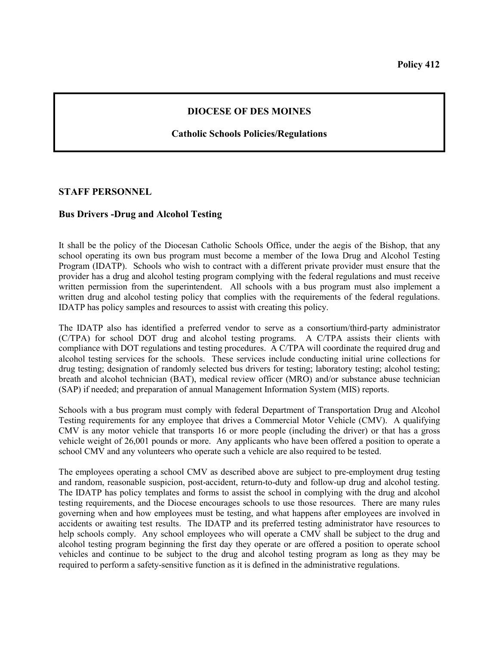## **DIOCESE OF DES MOINES**

## **Catholic Schools Policies/Regulations**

## **STAFF PERSONNEL**

## **Bus Drivers -Drug and Alcohol Testing**

It shall be the policy of the Diocesan Catholic Schools Office, under the aegis of the Bishop, that any school operating its own bus program must become a member of the Iowa Drug and Alcohol Testing Program (IDATP). Schools who wish to contract with a different private provider must ensure that the provider has a drug and alcohol testing program complying with the federal regulations and must receive written permission from the superintendent. All schools with a bus program must also implement a written drug and alcohol testing policy that complies with the requirements of the federal regulations. IDATP has policy samples and resources to assist with creating this policy.

The IDATP also has identified a preferred vendor to serve as a consortium/third-party administrator (C/TPA) for school DOT drug and alcohol testing programs. A C/TPA assists their clients with compliance with DOT regulations and testing procedures. A C/TPA will coordinate the required drug and alcohol testing services for the schools. These services include conducting initial urine collections for drug testing; designation of randomly selected bus drivers for testing; laboratory testing; alcohol testing; breath and alcohol technician (BAT), medical review officer (MRO) and/or substance abuse technician (SAP) if needed; and preparation of annual Management Information System (MIS) reports.

Schools with a bus program must comply with federal Department of Transportation Drug and Alcohol Testing requirements for any employee that drives a Commercial Motor Vehicle (CMV). A qualifying CMV is any motor vehicle that transports 16 or more people (including the driver) or that has a gross vehicle weight of 26,001 pounds or more. Any applicants who have been offered a position to operate a school CMV and any volunteers who operate such a vehicle are also required to be tested.

The employees operating a school CMV as described above are subject to pre-employment drug testing and random, reasonable suspicion, post-accident, return-to-duty and follow-up drug and alcohol testing. The IDATP has policy templates and forms to assist the school in complying with the drug and alcohol testing requirements, and the Diocese encourages schools to use those resources. There are many rules governing when and how employees must be testing, and what happens after employees are involved in accidents or awaiting test results. The IDATP and its preferred testing administrator have resources to help schools comply. Any school employees who will operate a CMV shall be subject to the drug and alcohol testing program beginning the first day they operate or are offered a position to operate school vehicles and continue to be subject to the drug and alcohol testing program as long as they may be required to perform a safety-sensitive function as it is defined in the administrative regulations.